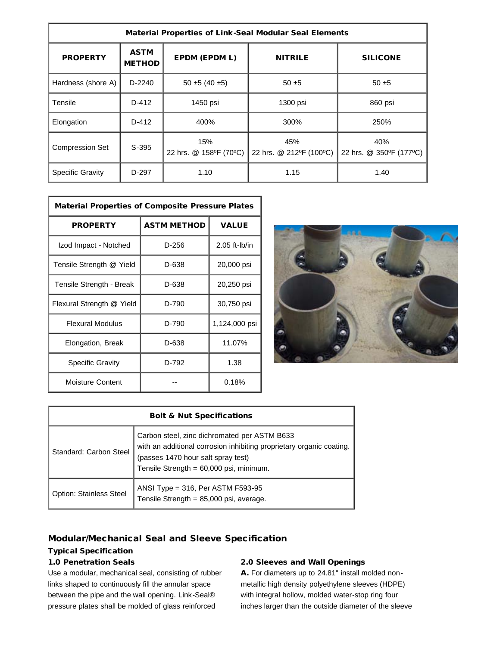| <b>Material Properties of Link-Seal Modular Seal Elements</b> |                              |                               |                                |                                |  |  |
|---------------------------------------------------------------|------------------------------|-------------------------------|--------------------------------|--------------------------------|--|--|
| <b>PROPERTY</b>                                               | <b>ASTM</b><br><b>METHOD</b> | EPDM (EPDM L)                 | <b>NITRILE</b>                 | <b>SILICONE</b>                |  |  |
| Hardness (shore A)                                            | $D-2240$                     | $50 \pm 5 (40 \pm 5)$         | $50 + 5$                       | $50 + 5$                       |  |  |
| Tensile                                                       | $D-412$                      | 1450 psi                      | 1300 psi                       | 860 psi                        |  |  |
| Elongation                                                    | $D-412$                      | 400%                          | 300%                           | 250%                           |  |  |
| <b>Compression Set</b>                                        | $S-395$                      | 15%<br>22 hrs. @ 158°F (70°C) | 45%<br>22 hrs. @ 212°F (100°C) | 40%<br>22 hrs. @ 350°F (177°C) |  |  |
| <b>Specific Gravity</b>                                       | D-297                        | 1.10                          | 1.15                           | 1.40                           |  |  |

| <b>Material Properties of Composite Pressure Plates</b> |                    |                 |  |  |
|---------------------------------------------------------|--------------------|-----------------|--|--|
| <b>PROPERTY</b>                                         | <b>ASTM METHOD</b> | <b>VALUE</b>    |  |  |
| Izod Impact - Notched                                   | D-256              | $2.05$ ft-lb/in |  |  |
| Tensile Strength @ Yield                                | D-638              | 20,000 psi      |  |  |
| Tensile Strength - Break                                | D-638              | 20,250 psi      |  |  |
| Flexural Strength @ Yield                               | D-790              | 30,750 psi      |  |  |
| <b>Flexural Modulus</b>                                 | D-790              | 1,124,000 psi   |  |  |
| Elongation, Break                                       | D-638              | 11.07%          |  |  |
| Specific Gravity                                        | D-792              | 1.38            |  |  |
| Moisture Content                                        |                    | 0.18%           |  |  |



| <b>Bolt &amp; Nut Specifications</b> |                                                                                                                                                                                                       |  |  |  |
|--------------------------------------|-------------------------------------------------------------------------------------------------------------------------------------------------------------------------------------------------------|--|--|--|
| Standard: Carbon Steel               | Carbon steel, zinc dichromated per ASTM B633<br>with an additional corrosion inhibiting proprietary organic coating.<br>(passes 1470 hour salt spray test)<br>Tensile Strength = 60,000 psi, minimum. |  |  |  |
| <b>Option: Stainless Steel</b>       | ANSI Type = 316, Per ASTM F593-95<br>Tensile Strength = $85,000$ psi, average.                                                                                                                        |  |  |  |

## Modular/Mechanical Seal and Sleeve Specification

## Typical Specification

## 1.0 Penetration Seals

Use a modular, mechanical seal, consisting of rubber links shaped to continuously fill the annular space between the pipe and the wall opening. Link-Seal® pressure plates shall be molded of glass reinforced

## 2.0 Sleeves and Wall Openings

A. For diameters up to 24.81" install molded nonmetallic high density polyethylene sleeves (HDPE) with integral hollow, molded water-stop ring four inches larger than the outside diameter of the sleeve